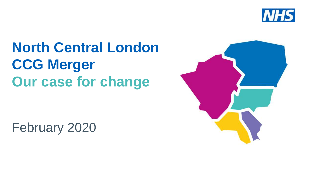

# **North Central London CCG Merger Our case for change**

February 2020

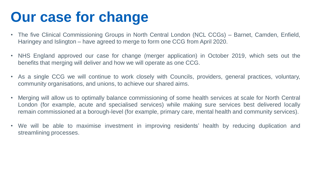### **Our case for change**

- The five Clinical Commissioning Groups in North Central London (NCL CCGs) Barnet, Camden, Enfield, Haringey and Islington – have agreed to merge to form one CCG from April 2020.
- NHS England approved our case for change (merger application) in October 2019, which sets out the benefits that merging will deliver and how we will operate as one CCG.
- As a single CCG we will continue to work closely with Councils, providers, general practices, voluntary, community organisations, and unions, to achieve our shared aims.
- Merging will allow us to optimally balance commissioning of some health services at scale for North Central London (for example, acute and specialised services) while making sure services best delivered locally remain commissioned at a borough-level (for example, primary care, mental health and community services).
- We will be able to maximise investment in improving residents' health by reducing duplication and streamlining processes.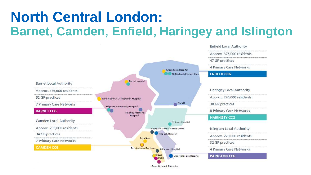### **North Central London: Barnet, Camden, Enfield, Haringey and Islington**



**Great Ormond St Hospital**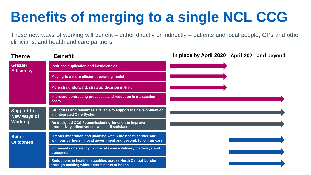These new ways of working will benefit – either directly or indirectly – patients and local people; GPs and other clinicians; and health and care partners.

| <b>Theme</b>                                              | <b>Benefit</b>                                                                                                                      | In place by April 2020   April 2021 and beyond |  |  |
|-----------------------------------------------------------|-------------------------------------------------------------------------------------------------------------------------------------|------------------------------------------------|--|--|
| <b>Greater</b><br><b>Efficiency</b>                       | <b>Reduced duplication and inefficiencies</b>                                                                                       |                                                |  |  |
|                                                           | Moving to a more efficient operating model                                                                                          |                                                |  |  |
|                                                           | More straightforward, strategic decision making                                                                                     |                                                |  |  |
|                                                           | Improved contracting processes and reduction in transaction<br>costs                                                                |                                                |  |  |
| <b>Support to</b><br><b>New Ways of</b><br><b>Working</b> | Structures and resources available to support the development of<br>an Integrated Care System                                       |                                                |  |  |
|                                                           | Re-designed CCG / commissioning function to improve<br>productivity, effectiveness and staff satisfaction                           |                                                |  |  |
| <b>Better</b><br><b>Outcomes</b>                          | Greater integration and planning within the health service and<br>with our partners in local government and beyond, to join up care |                                                |  |  |
|                                                           | Increased consistency in clinical service delivery, pathways and<br>outcomes                                                        |                                                |  |  |
|                                                           | Reductions in health inequalities across North Central London<br>through tackling wider determinants of health                      |                                                |  |  |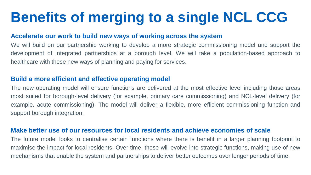#### **Accelerate our work to build new ways of working across the system**

We will build on our partnership working to develop a more strategic commissioning model and support the development of integrated partnerships at a borough level. We will take a population-based approach to healthcare with these new ways of planning and paying for services.

### **Build a more efficient and effective operating model**

The new operating model will ensure functions are delivered at the most effective level including those areas most suited for borough-level delivery (for example, primary care commissioning) and NCL-level delivery (for example, acute commissioning). The model will deliver a flexible, more efficient commissioning function and support borough integration.

#### **Make better use of our resources for local residents and achieve economies of scale**

The future model looks to centralise certain functions where there is benefit in a larger planning footprint to maximise the impact for local residents. Over time, these will evolve into strategic functions, making use of new mechanisms that enable the system and partnerships to deliver better outcomes over longer periods of time.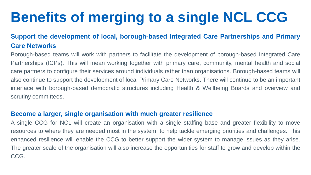### **Support the development of local, borough-based Integrated Care Partnerships and Primary Care Networks**

Borough-based teams will work with partners to facilitate the development of borough-based Integrated Care Partnerships (ICPs). This will mean working together with primary care, community, mental health and social care partners to configure their services around individuals rather than organisations. Borough-based teams will also continue to support the development of local Primary Care Networks. There will continue to be an important interface with borough-based democratic structures including Health & Wellbeing Boards and overview and scrutiny committees.

### **Become a larger, single organisation with much greater resilience**

A single CCG for NCL will create an organisation with a single staffing base and greater flexibility to move resources to where they are needed most in the system, to help tackle emerging priorities and challenges. This enhanced resilience will enable the CCG to better support the wider system to manage issues as they arise. The greater scale of the organisation will also increase the opportunities for staff to grow and develop within the CCG.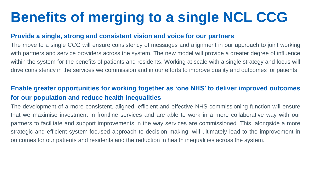### **Provide a single, strong and consistent vision and voice for our partners**

The move to a single CCG will ensure consistency of messages and alignment in our approach to joint working with partners and service providers across the system. The new model will provide a greater degree of influence within the system for the benefits of patients and residents. Working at scale with a single strategy and focus will drive consistency in the services we commission and in our efforts to improve quality and outcomes for patients.

### **Enable greater opportunities for working together as 'one NHS' to deliver improved outcomes for our population and reduce health inequalities**

The development of a more consistent, aligned, efficient and effective NHS commissioning function will ensure that we maximise investment in frontline services and are able to work in a more collaborative way with our partners to facilitate and support improvements in the way services are commissioned. This, alongside a more strategic and efficient system-focused approach to decision making, will ultimately lead to the improvement in outcomes for our patients and residents and the reduction in health inequalities across the system.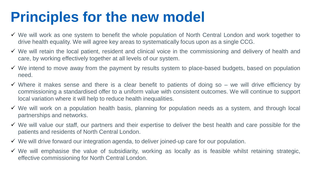### **Principles for the new model**

- $\checkmark$  We will work as one system to benefit the whole population of North Central London and work together to drive health equality. We will agree key areas to systematically focus upon as a single CCG.
- $\checkmark$  We will retain the local patient, resident and clinical voice in the commissioning and delivery of health and care, by working effectively together at all levels of our system.
- $\checkmark$  We intend to move away from the payment by results system to place-based budgets, based on population need.
- $\checkmark$  Where it makes sense and there is a clear benefit to patients of doing so we will drive efficiency by commissioning a standardised offer to a uniform value with consistent outcomes. We will continue to support local variation where it will help to reduce health inequalities.
- $\checkmark$  We will work on a population health basis, planning for population needs as a system, and through local partnerships and networks.
- $\checkmark$  We will value our staff, our partners and their expertise to deliver the best health and care possible for the patients and residents of North Central London.
- $\checkmark$  We will drive forward our integration agenda, to deliver joined-up care for our population.
- $\checkmark$  We will emphasise the value of subsidiarity, working as locally as is feasible whilst retaining strategic, effective commissioning for North Central London.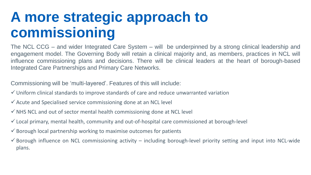### **A more strategic approach to commissioning**

The NCL CCG – and wider Integrated Care System – will be underpinned by a strong clinical leadership and engagement model. The Governing Body will retain a clinical majority and, as members, practices in NCL will influence commissioning plans and decisions. There will be clinical leaders at the heart of borough-based Integrated Care Partnerships and Primary Care Networks.

Commissioning will be 'multi-layered'. Features of this will include:

- Uniform clinical standards to improve standards of care and reduce unwarranted variation
- $\checkmark$  Acute and Specialised service commissioning done at an NCL level
- $\checkmark$  NHS NCL and out of sector mental health commissioning done at NCL level
- $\checkmark$  Local primary, mental health, community and out-of-hospital care commissioned at borough-level
- $\checkmark$  Borough local partnership working to maximise outcomes for patients
- $\checkmark$  Borough influence on NCL commissioning activity including borough-level priority setting and input into NCL-wide plans.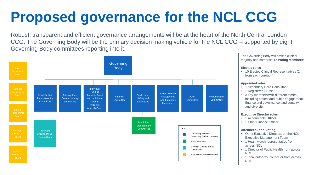# **Proposed governance for the NCL CCG**

Robust, transparent and efficient governance arrangements will be at the heart of the North Central London CCG. The Governing Body will be the primary decision making vehicle for the NCL CCG – supported by eight Governing Body committees reporting into it.



The Governing Body will have a clinical majority and comprise **17 Voting Members**:

#### **Elected roles**

• 10 Elected Clinical Representatives (2 from each borough)

#### **Appointed roles**

- 1 Secondary Care Consultant
- 1 Registered Nurse
- 3 Lay members with different remits including patient and public engagement, finance and governance, and equality and diversity.

#### **Executive Director roles**

- 1 Accountable Officer
- 1 Chief Finance Officer

#### **Attendees (non-voting)**

- Other Executive Directors on the NCL Executive Management Team
- 1 Healthwatch representative from across NCL
- 1 Director of Public Health from across **NCL**
- 1 local authority Councillor from across **NCL**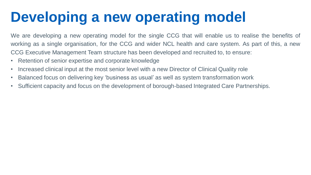# **Developing a new operating model**

We are developing a new operating model for the single CCG that will enable us to realise the benefits of working as a single organisation, for the CCG and wider NCL health and care system. As part of this, a new CCG Executive Management Team structure has been developed and recruited to, to ensure:

- Retention of senior expertise and corporate knowledge
- Increased clinical input at the most senior level with a new Director of Clinical Quality role
- Balanced focus on delivering key 'business as usual' as well as system transformation work
- Sufficient capacity and focus on the development of borough-based Integrated Care Partnerships.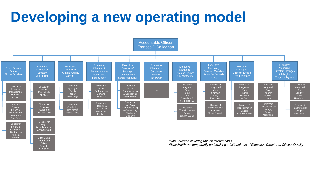## **Developing a new operating model**

Anthony Browne

**Chief Digital** Information **Officer** John-Jo Campbell



*\*Rob Larkman covering role on interim basis*

*\*\*Kay Matthews temporarily undertaking additional role of Executive Director of Clinical Quality*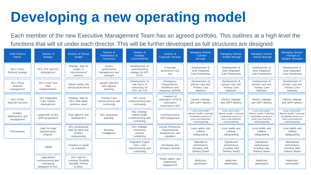# **Developing a new operating model**

Each member of the new Executive Management Team has an agreed portfolio. This outlines at a high level the functions that will sit under each director. This will be further developed as full structures are designed.

| <b>Chief Finance</b><br>Officer                 | Director of<br>Strategy                                             | <b>Director of Clinical</b><br>Quality                             | Director of<br>Performance &<br>Assurance               | Director of<br>Strategic<br>Commissioning                                 | Director of<br><b>Corporate Services</b>                            | <b>Managing Director</b><br>- Camden<br><b>Borough</b>                                                             | <b>Managing Director</b><br>- Enfield Borough                                                                      | <b>Managing Director</b><br>- Barnet Borough                                                                       | <b>Managing Director</b><br>$-$ Haringey &<br><b>Islington Boroughs</b>                                            |
|-------------------------------------------------|---------------------------------------------------------------------|--------------------------------------------------------------------|---------------------------------------------------------|---------------------------------------------------------------------------|---------------------------------------------------------------------|--------------------------------------------------------------------------------------------------------------------|--------------------------------------------------------------------------------------------------------------------|--------------------------------------------------------------------------------------------------------------------|--------------------------------------------------------------------------------------------------------------------|
| <b>NCL CCGs</b><br>financial strategy           | NCL STP and ICS<br>development                                      | Strategic lead for<br>quality in<br>commissioned<br>services       | System<br>performance<br>management and<br>oversight    | Development of<br>commissioning<br>strategy for NCL<br><b>CCGs</b>        | Corporate<br>governance and<br>risk                                 | Development of<br>local Integrated<br>Care Partnership                                                             | Development of<br>local Integrated<br>Care Partnership                                                             | Development of<br>local Integrated<br>Care Partnership                                                             | Development of<br>local Integrated<br>Care Partnership                                                             |
| <b>NCL CCGs</b><br>financial<br>management      | <b>NCL Long Term</b><br>Plan<br>implementation                      | Patient safety and<br>clinical governance                          | System demand<br>and capacity<br>planning               | Development of<br>new forms of<br>contracting for<br>ICPs and ICS         | Emergency<br>Preparedness,<br>Resilience and<br>Response (EPRR)     | Development of<br>primary care and<br><b>Primary Care</b><br><b>Networks</b>                                       | Development of<br>primary care and<br><b>Primary Care</b><br><b>Networks</b>                                       | Development of<br>primary care and<br><b>Primary Care</b><br><b>Networks</b>                                       | Development of<br>primary care and<br><b>Primary Care</b><br><b>Networks</b>                                       |
| <b>NCL CCGs</b><br>financial recovery           | <b>NCL</b> Integrated<br>Care System<br>development                 | Strategic lead for<br>NCL child death<br>overview panel            | <b>Primary Care</b><br>commissioning and<br>contracting | NCL acute<br>commissioning and<br>contracting                             | Freedom of<br>Information (FOI) &<br>Information<br>Governance (IG) | Service redesian<br>and QIPP delivery                                                                              | Service redesian<br>and QIPP delivery                                                                              | Service redesian<br>and QIPP delivery                                                                              | Service redesian<br>and QIPP delivery                                                                              |
| <b>Estates</b><br>development and<br>management | Leadership of NCL<br>QIPP programme                                 | CHC delivery and<br>development                                    | <b>NCL</b> operations<br>planning                       | <b>NCL</b> strategic<br>mental health<br>commissioning and<br>contracting | Communications<br>and engagement                                    | Local community /<br>Mental Health / Learning<br>Disabilities services &<br>joint Local Authority<br>commissioning | Local community /<br>Mental Health / Learning<br>Disabilities services &<br>joint Local Authority<br>commissioning | Local community /<br>Mental Health / Learning<br>Disabilities services &<br>joint Local Authority<br>commissioning | Local community /<br>Mental Health / Learning<br>Disabilities services &<br>joint Local Authority<br>commissioning |
| Procurement                                     | Lead for maior<br>transformation<br>projects                        | NCL professional<br>lead for adult and<br>children<br>safequarding | <b>Business</b><br>Intelligence                         | <b>NCL</b> strategic<br>community<br>services<br>contracting              | Human Resources.<br>Organisational<br>Development and<br>equalities | Local adults and<br>children<br>safeguarding                                                                       | Local adults and<br>children<br>safeguarding                                                                       | Local adults and<br>children<br>safeguarding                                                                       | Local adults and<br>children<br>safeguarding                                                                       |
|                                                 | Digital                                                             | Freedom to speak<br>up Guardian                                    |                                                         | Integrated Urgent<br>Care / LAS<br>commissioning and<br>contracting       | Secretariat and<br>business services                                | Operational<br>performance<br>including A&E<br>Delivery Board                                                      | Operational<br>performance<br>including A&E<br>Delivery Board                                                      | Operational<br>performance<br>including A&E<br>Delivery Board                                                      | Operational<br>performance<br>including A&E<br>Delivery Board                                                      |
|                                                 | Specialised<br>commissioning and<br>contracting<br>delegated to NCL | NCL lead for<br>Learning Disability<br>Mortality Review<br>(LeDer) |                                                         |                                                                           | Public patient and<br>stakeholder<br>engagement                     | <b>Medicines</b><br>optimisation                                                                                   | <b>Medicines</b><br>optimisation                                                                                   | <b>Medicines</b><br>optimisation                                                                                   | <b>Medicines</b><br>optimisation                                                                                   |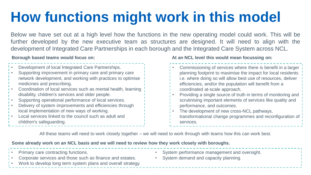# **How functions might work in this model**

Below we have set out at a high level how the functions in the new operating model could work. This will be further developed by the new executive team as structures are designed. It will need to align with the development of Integrated Care Partnerships in each borough and the Integrated Care System across NCL.

#### **Borough based teams would focus on:**

- Development of local Integrated Care Partnerships.
- Supporting improvement in primary care and primary care network development, and working with practices to optimise medicines and prescribing.
- Coordination of local services such as mental health, learning disability, children's services and older people.
- Supporting operational performance of local services.
- Delivery of system improvements and efficiencies through local implementation of new ways of working.
- Local services linked to the council such as adult and children's safeguarding.

#### **At an NCL level this would mean focussing on:**

- Commissioning of services where there is benefit in a larger planning footprint to maximise the impact for local residents i.e. where doing so will allow best use of resources, deliver efficiencies, and/or the population will benefit from a coordinated at-scale approach.
- Providing a single source of truth in terms of monitoring and scrutinising important elements of services like quality and performance, and outcomes.
- The development of new cross-NCL pathways, transformational change programmes and reconfiguration of services.

All these teams will need to work closely together – we will need to work through with teams how this can work best.

#### **Some already work on an NCL basis and we will need to review how they work closely with boroughs.**

Primary care contracting functions. • Corporate services and those such as finance and estates. • Work to develop long term system plans and overall strategy. System performance management and oversight. System demand and capacity planning.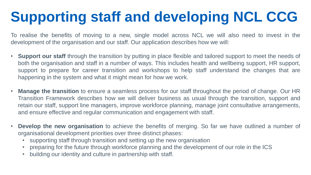# **Supporting staff and developing NCL CCG**

To realise the benefits of moving to a new, single model across NCL we will also need to invest in the development of the organisation and our staff. Our application describes how we will:

- **Support our staff** through the transition by putting in place flexible and tailored support to meet the needs of both the organisation and staff in a number of ways. This includes health and wellbeing support, HR support, support to prepare for career transition and workshops to help staff understand the changes that are happening in the system and what it might mean for how we work.
- **Manage the transition** to ensure a seamless process for our staff throughout the period of change. Our HR Transition Framework describes how we will deliver business as usual through the transition, support and retain our staff, support line managers, improve workforce planning, manage joint consultative arrangements, and ensure effective and regular communication and engagement with staff.
- **Develop the new organisation** to achieve the benefits of merging. So far we have outlined a number of organisational development priorities over three distinct phases:
	- supporting staff through transition and setting up the new organisation
	- preparing for the future through workforce planning and the development of our role in the ICS
	- building our identity and culture in partnership with staff.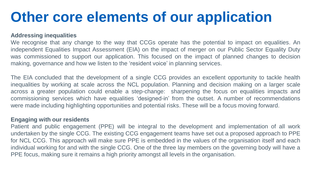### **Other core elements of our application**

#### **Addressing inequalities**

We recognise that any change to the way that CCGs operate has the potential to impact on equalities. An independent Equalities Impact Assessment (EIA) on the impact of merger on our Public Sector Equality Duty was commissioned to support our application. This focused on the impact of planned changes to decision making, governance and how we listen to the 'resident voice' in planning services.

The EIA concluded that the development of a single CCG provides an excellent opportunity to tackle health inequalities by working at scale across the NCL population. Planning and decision making on a larger scale across a greater population could enable a step-change: sharpening the focus on equalities impacts and commissioning services which have equalities 'designed-in' from the outset. A number of recommendations were made including highlighting opportunities and potential risks. These will be a focus moving forward.

#### **Engaging with our residents**

Patient and public engagement (PPE) will be integral to the development and implementation of all work undertaken by the single CCG. The existing CCG engagement teams have set out a proposed approach to PPE for NCL CCG. This approach will make sure PPE is embedded in the values of the organisation itself and each individual working for and with the single CCG. One of the three lay members on the governing body will have a PPE focus, making sure it remains a high priority amongst all levels in the organisation.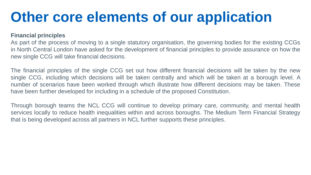### **Other core elements of our application**

#### **Financial principles**

As part of the process of moving to a single statutory organisation, the governing bodies for the existing CCGs in North Central London have asked for the development of financial principles to provide assurance on how the new single CCG will take financial decisions.

The financial principles of the single CCG set out how different financial decisions will be taken by the new single CCG, including which decisions will be taken centrally and which will be taken at a borough level. A number of scenarios have been worked through which illustrate how different decisions may be taken. These have been further developed for including in a schedule of the proposed Constitution.

Through borough teams the NCL CCG will continue to develop primary care, community, and mental health services locally to reduce health inequalities within and across boroughs. The Medium Term Financial Strategy that is being developed across all partners in NCL further supports these principles.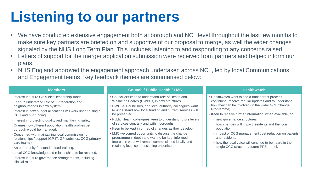# **Listening to our partners**

- We have conducted extensive engagement both at borough and NCL level throughout the last few months to make sure key partners are briefed on and supportive of our proposal to merge, as well the wider changes signaled by the NHS Long Term Plan. This includes listening to and responding to any concerns raised.
- Letters of support for the merger application submission were received from partners and helped inform our plans.
- NHS England approved the engagement approach undertaken across NCL, led by local Communications and Engagement teams. Key feedback themes are summarised below:

- Interest in future GP clinical leadership model.
- Keen to understand role of GP federation and neighbourhoods in new system.
- Interest in how budget allocations will work under a single CCG and GP funding.
- Interest in protecting quality and maintaining safety.
- Queries how different population health profiles per borough would be managed.
- Concerned with maintaining local commissioning relationships / support (GP IT, GP websites, CCG primary care teams).
- An opportunity for standardised training.
- Local CCG knowledge and relationships to be retained.
- Interest in future governance arrangements, including clinical roles.

#### **Members Council / Public Health / LMC Healthwatch**

- Councillors keen to understand role of Health and Wellbeing Boards (HWBBs) in new structures.
- HWBBs, Councillors, and local authority colleagues want to understand how local funding and current services will be preserved.
- Public Health colleagues keen to understand future levels of services centrally and within boroughs.
- Keen to be kept informed of changes as they develop.
- LMC welcomed opportunity to discuss the change programme in depth and want to be kept informed. Interest in what will remain commissioned locally and retaining local commissioning expertise.

- Healthwatch want to see a transparent process continuing, receive regular updates and to understand how they can be involved (in the wider NCL Change Programme).
- Keen to receive further information, when available, on:
	- new governance structures
	- how changes will impact residents and the local population
	- impact of CCG management cost reduction on patients and residents
	- how the local voice will continue to be heard in the single CCG structure / future PPE model.